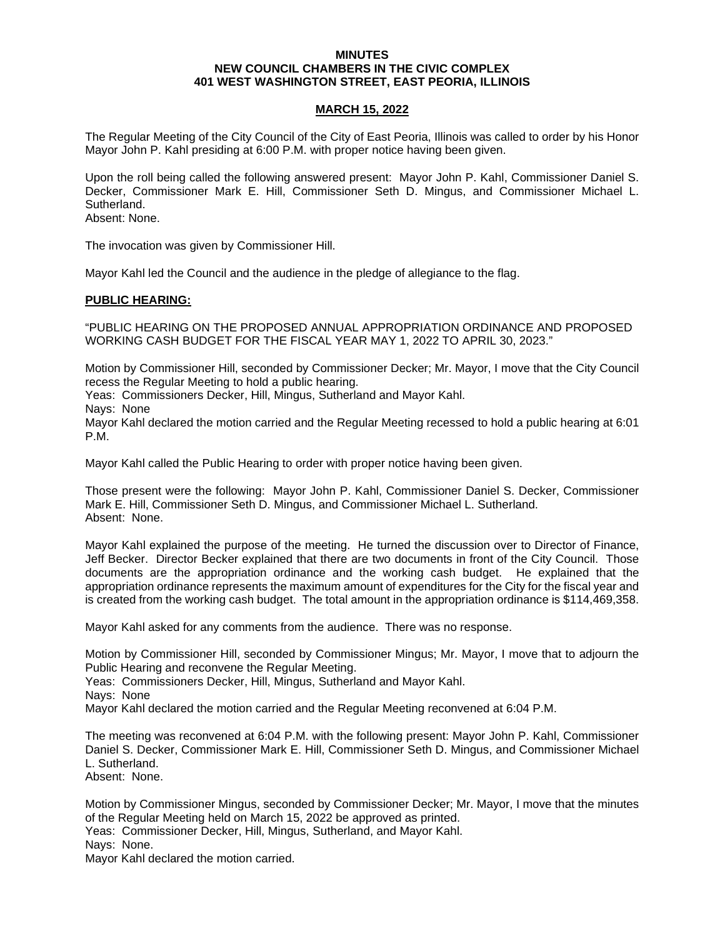### **MINUTES NEW COUNCIL CHAMBERS IN THE CIVIC COMPLEX 401 WEST WASHINGTON STREET, EAST PEORIA, ILLINOIS**

## **MARCH 15, 2022**

The Regular Meeting of the City Council of the City of East Peoria, Illinois was called to order by his Honor Mayor John P. Kahl presiding at 6:00 P.M. with proper notice having been given.

Upon the roll being called the following answered present: Mayor John P. Kahl, Commissioner Daniel S. Decker, Commissioner Mark E. Hill, Commissioner Seth D. Mingus, and Commissioner Michael L. Sutherland.

Absent: None.

The invocation was given by Commissioner Hill.

Mayor Kahl led the Council and the audience in the pledge of allegiance to the flag.

#### **PUBLIC HEARING:**

"PUBLIC HEARING ON THE PROPOSED ANNUAL APPROPRIATION ORDINANCE AND PROPOSED WORKING CASH BUDGET FOR THE FISCAL YEAR MAY 1, 2022 TO APRIL 30, 2023."

Motion by Commissioner Hill, seconded by Commissioner Decker; Mr. Mayor, I move that the City Council recess the Regular Meeting to hold a public hearing.

Yeas: Commissioners Decker, Hill, Mingus, Sutherland and Mayor Kahl.

Nays: None

Mayor Kahl declared the motion carried and the Regular Meeting recessed to hold a public hearing at 6:01 P.M.

Mayor Kahl called the Public Hearing to order with proper notice having been given.

Those present were the following: Mayor John P. Kahl, Commissioner Daniel S. Decker, Commissioner Mark E. Hill, Commissioner Seth D. Mingus, and Commissioner Michael L. Sutherland. Absent: None.

Mayor Kahl explained the purpose of the meeting. He turned the discussion over to Director of Finance, Jeff Becker. Director Becker explained that there are two documents in front of the City Council. Those documents are the appropriation ordinance and the working cash budget. He explained that the appropriation ordinance represents the maximum amount of expenditures for the City for the fiscal year and is created from the working cash budget. The total amount in the appropriation ordinance is \$114,469,358.

Mayor Kahl asked for any comments from the audience. There was no response.

Motion by Commissioner Hill, seconded by Commissioner Mingus; Mr. Mayor, I move that to adjourn the Public Hearing and reconvene the Regular Meeting.

Yeas: Commissioners Decker, Hill, Mingus, Sutherland and Mayor Kahl.

Nays: None

Mayor Kahl declared the motion carried and the Regular Meeting reconvened at 6:04 P.M.

The meeting was reconvened at 6:04 P.M. with the following present: Mayor John P. Kahl, Commissioner Daniel S. Decker, Commissioner Mark E. Hill, Commissioner Seth D. Mingus, and Commissioner Michael L. Sutherland.

Absent: None.

Motion by Commissioner Mingus, seconded by Commissioner Decker; Mr. Mayor, I move that the minutes of the Regular Meeting held on March 15, 2022 be approved as printed. Yeas: Commissioner Decker, Hill, Mingus, Sutherland, and Mayor Kahl.

Nays: None.

Mayor Kahl declared the motion carried.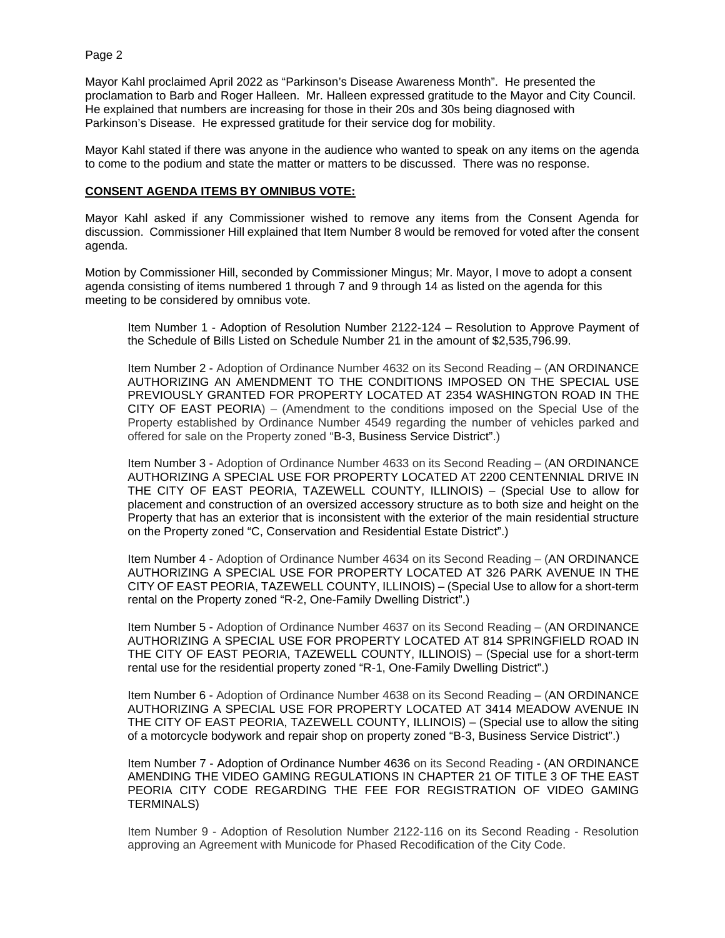Mayor Kahl proclaimed April 2022 as "Parkinson's Disease Awareness Month". He presented the proclamation to Barb and Roger Halleen. Mr. Halleen expressed gratitude to the Mayor and City Council. He explained that numbers are increasing for those in their 20s and 30s being diagnosed with Parkinson's Disease. He expressed gratitude for their service dog for mobility.

Mayor Kahl stated if there was anyone in the audience who wanted to speak on any items on the agenda to come to the podium and state the matter or matters to be discussed. There was no response.

## **CONSENT AGENDA ITEMS BY OMNIBUS VOTE:**

Mayor Kahl asked if any Commissioner wished to remove any items from the Consent Agenda for discussion. Commissioner Hill explained that Item Number 8 would be removed for voted after the consent agenda.

Motion by Commissioner Hill, seconded by Commissioner Mingus; Mr. Mayor, I move to adopt a consent agenda consisting of items numbered 1 through 7 and 9 through 14 as listed on the agenda for this meeting to be considered by omnibus vote.

Item Number 1 - Adoption of Resolution Number 2122-124 – Resolution to Approve Payment of the Schedule of Bills Listed on Schedule Number 21 in the amount of \$2,535,796.99.

Item Number 2 - Adoption of Ordinance Number 4632 on its Second Reading – (AN ORDINANCE AUTHORIZING AN AMENDMENT TO THE CONDITIONS IMPOSED ON THE SPECIAL USE PREVIOUSLY GRANTED FOR PROPERTY LOCATED AT 2354 WASHINGTON ROAD IN THE CITY OF EAST PEORIA) – (Amendment to the conditions imposed on the Special Use of the Property established by Ordinance Number 4549 regarding the number of vehicles parked and offered for sale on the Property zoned "B-3, Business Service District".)

Item Number 3 - Adoption of Ordinance Number 4633 on its Second Reading – (AN ORDINANCE AUTHORIZING A SPECIAL USE FOR PROPERTY LOCATED AT 2200 CENTENNIAL DRIVE IN THE CITY OF EAST PEORIA, TAZEWELL COUNTY, ILLINOIS) – (Special Use to allow for placement and construction of an oversized accessory structure as to both size and height on the Property that has an exterior that is inconsistent with the exterior of the main residential structure on the Property zoned "C, Conservation and Residential Estate District".)

Item Number 4 - Adoption of Ordinance Number 4634 on its Second Reading – (AN ORDINANCE AUTHORIZING A SPECIAL USE FOR PROPERTY LOCATED AT 326 PARK AVENUE IN THE CITY OF EAST PEORIA, TAZEWELL COUNTY, ILLINOIS) – (Special Use to allow for a short-term rental on the Property zoned "R-2, One-Family Dwelling District".)

Item Number 5 - Adoption of Ordinance Number 4637 on its Second Reading – (AN ORDINANCE AUTHORIZING A SPECIAL USE FOR PROPERTY LOCATED AT 814 SPRINGFIELD ROAD IN THE CITY OF EAST PEORIA, TAZEWELL COUNTY, ILLINOIS) – (Special use for a short-term rental use for the residential property zoned "R-1, One-Family Dwelling District".)

Item Number 6 - Adoption of Ordinance Number 4638 on its Second Reading – (AN ORDINANCE AUTHORIZING A SPECIAL USE FOR PROPERTY LOCATED AT 3414 MEADOW AVENUE IN THE CITY OF EAST PEORIA, TAZEWELL COUNTY, ILLINOIS) – (Special use to allow the siting of a motorcycle bodywork and repair shop on property zoned "B-3, Business Service District".)

Item Number 7 - Adoption of Ordinance Number 4636 on its Second Reading - (AN ORDINANCE AMENDING THE VIDEO GAMING REGULATIONS IN CHAPTER 21 OF TITLE 3 OF THE EAST PEORIA CITY CODE REGARDING THE FEE FOR REGISTRATION OF VIDEO GAMING TERMINALS)

Item Number 9 - Adoption of Resolution Number 2122-116 on its Second Reading - Resolution approving an Agreement with Municode for Phased Recodification of the City Code.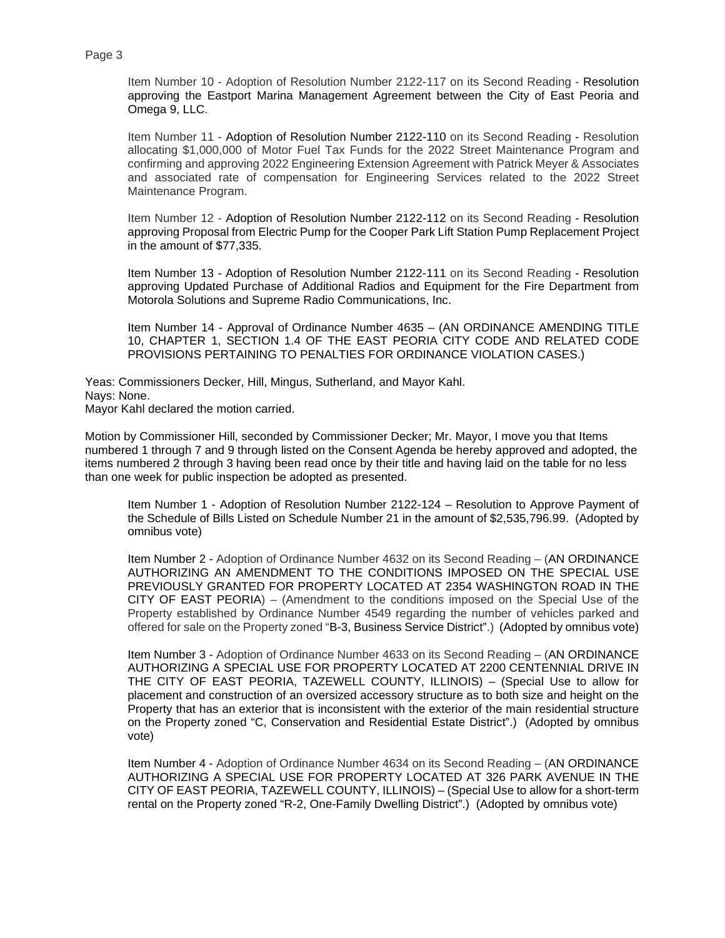Item Number 10 - Adoption of Resolution Number 2122-117 on its Second Reading - Resolution approving the Eastport Marina Management Agreement between the City of East Peoria and Omega 9, LLC.

Item Number 11 - Adoption of Resolution Number 2122-110 on its Second Reading - Resolution allocating \$1,000,000 of Motor Fuel Tax Funds for the 2022 Street Maintenance Program and confirming and approving 2022 Engineering Extension Agreement with Patrick Meyer & Associates and associated rate of compensation for Engineering Services related to the 2022 Street Maintenance Program.

Item Number 12 - Adoption of Resolution Number 2122-112 on its Second Reading - Resolution approving Proposal from Electric Pump for the Cooper Park Lift Station Pump Replacement Project in the amount of \$77,335.

Item Number 13 - Adoption of Resolution Number 2122-111 on its Second Reading - Resolution approving Updated Purchase of Additional Radios and Equipment for the Fire Department from Motorola Solutions and Supreme Radio Communications, Inc.

Item Number 14 - Approval of Ordinance Number 4635 – (AN ORDINANCE AMENDING TITLE 10, CHAPTER 1, SECTION 1.4 OF THE EAST PEORIA CITY CODE AND RELATED CODE PROVISIONS PERTAINING TO PENALTIES FOR ORDINANCE VIOLATION CASES.)

Yeas: Commissioners Decker, Hill, Mingus, Sutherland, and Mayor Kahl. Nays: None. Mayor Kahl declared the motion carried.

Motion by Commissioner Hill, seconded by Commissioner Decker; Mr. Mayor, I move you that Items numbered 1 through 7 and 9 through listed on the Consent Agenda be hereby approved and adopted, the items numbered 2 through 3 having been read once by their title and having laid on the table for no less than one week for public inspection be adopted as presented.

Item Number 1 - Adoption of Resolution Number 2122-124 – Resolution to Approve Payment of the Schedule of Bills Listed on Schedule Number 21 in the amount of \$2,535,796.99. (Adopted by omnibus vote)

Item Number 2 - Adoption of Ordinance Number 4632 on its Second Reading – (AN ORDINANCE AUTHORIZING AN AMENDMENT TO THE CONDITIONS IMPOSED ON THE SPECIAL USE PREVIOUSLY GRANTED FOR PROPERTY LOCATED AT 2354 WASHINGTON ROAD IN THE CITY OF EAST PEORIA) – (Amendment to the conditions imposed on the Special Use of the Property established by Ordinance Number 4549 regarding the number of vehicles parked and offered for sale on the Property zoned "B-3, Business Service District".) (Adopted by omnibus vote)

Item Number 3 - Adoption of Ordinance Number 4633 on its Second Reading – (AN ORDINANCE AUTHORIZING A SPECIAL USE FOR PROPERTY LOCATED AT 2200 CENTENNIAL DRIVE IN THE CITY OF EAST PEORIA, TAZEWELL COUNTY, ILLINOIS) – (Special Use to allow for placement and construction of an oversized accessory structure as to both size and height on the Property that has an exterior that is inconsistent with the exterior of the main residential structure on the Property zoned "C, Conservation and Residential Estate District".) (Adopted by omnibus vote)

Item Number 4 - Adoption of Ordinance Number 4634 on its Second Reading – (AN ORDINANCE AUTHORIZING A SPECIAL USE FOR PROPERTY LOCATED AT 326 PARK AVENUE IN THE CITY OF EAST PEORIA, TAZEWELL COUNTY, ILLINOIS) – (Special Use to allow for a short-term rental on the Property zoned "R-2, One-Family Dwelling District".) (Adopted by omnibus vote)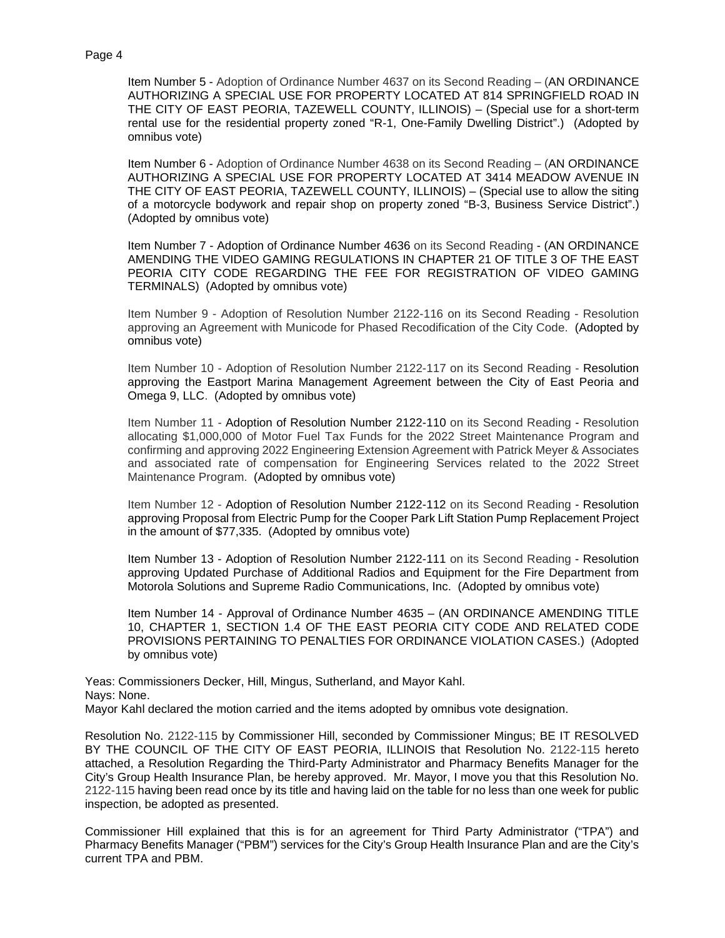Item Number 5 - Adoption of Ordinance Number 4637 on its Second Reading – (AN ORDINANCE AUTHORIZING A SPECIAL USE FOR PROPERTY LOCATED AT 814 SPRINGFIELD ROAD IN THE CITY OF EAST PEORIA, TAZEWELL COUNTY, ILLINOIS) – (Special use for a short-term rental use for the residential property zoned "R-1, One-Family Dwelling District".) (Adopted by omnibus vote)

Item Number 6 - Adoption of Ordinance Number 4638 on its Second Reading – (AN ORDINANCE AUTHORIZING A SPECIAL USE FOR PROPERTY LOCATED AT 3414 MEADOW AVENUE IN THE CITY OF EAST PEORIA, TAZEWELL COUNTY, ILLINOIS) – (Special use to allow the siting of a motorcycle bodywork and repair shop on property zoned "B-3, Business Service District".) (Adopted by omnibus vote)

Item Number 7 - Adoption of Ordinance Number 4636 on its Second Reading - (AN ORDINANCE AMENDING THE VIDEO GAMING REGULATIONS IN CHAPTER 21 OF TITLE 3 OF THE EAST PEORIA CITY CODE REGARDING THE FEE FOR REGISTRATION OF VIDEO GAMING TERMINALS) (Adopted by omnibus vote)

Item Number 9 - Adoption of Resolution Number 2122-116 on its Second Reading - Resolution approving an Agreement with Municode for Phased Recodification of the City Code. (Adopted by omnibus vote)

Item Number 10 - Adoption of Resolution Number 2122-117 on its Second Reading - Resolution approving the Eastport Marina Management Agreement between the City of East Peoria and Omega 9, LLC. (Adopted by omnibus vote)

Item Number 11 - Adoption of Resolution Number 2122-110 on its Second Reading - Resolution allocating \$1,000,000 of Motor Fuel Tax Funds for the 2022 Street Maintenance Program and confirming and approving 2022 Engineering Extension Agreement with Patrick Meyer & Associates and associated rate of compensation for Engineering Services related to the 2022 Street Maintenance Program. (Adopted by omnibus vote)

Item Number 12 - Adoption of Resolution Number 2122-112 on its Second Reading - Resolution approving Proposal from Electric Pump for the Cooper Park Lift Station Pump Replacement Project in the amount of \$77,335. (Adopted by omnibus vote)

Item Number 13 - Adoption of Resolution Number 2122-111 on its Second Reading - Resolution approving Updated Purchase of Additional Radios and Equipment for the Fire Department from Motorola Solutions and Supreme Radio Communications, Inc. (Adopted by omnibus vote)

Item Number 14 - Approval of Ordinance Number 4635 – (AN ORDINANCE AMENDING TITLE 10, CHAPTER 1, SECTION 1.4 OF THE EAST PEORIA CITY CODE AND RELATED CODE PROVISIONS PERTAINING TO PENALTIES FOR ORDINANCE VIOLATION CASES.) (Adopted by omnibus vote)

Yeas: Commissioners Decker, Hill, Mingus, Sutherland, and Mayor Kahl. Nays: None.

Mayor Kahl declared the motion carried and the items adopted by omnibus vote designation.

Resolution No. 2122-115 by Commissioner Hill, seconded by Commissioner Mingus; BE IT RESOLVED BY THE COUNCIL OF THE CITY OF EAST PEORIA, ILLINOIS that Resolution No. 2122-115 hereto attached, a Resolution Regarding the Third-Party Administrator and Pharmacy Benefits Manager for the City's Group Health Insurance Plan, be hereby approved. Mr. Mayor, I move you that this Resolution No. 2122-115 having been read once by its title and having laid on the table for no less than one week for public inspection, be adopted as presented.

Commissioner Hill explained that this is for an agreement for Third Party Administrator ("TPA") and Pharmacy Benefits Manager ("PBM") services for the City's Group Health Insurance Plan and are the City's current TPA and PBM.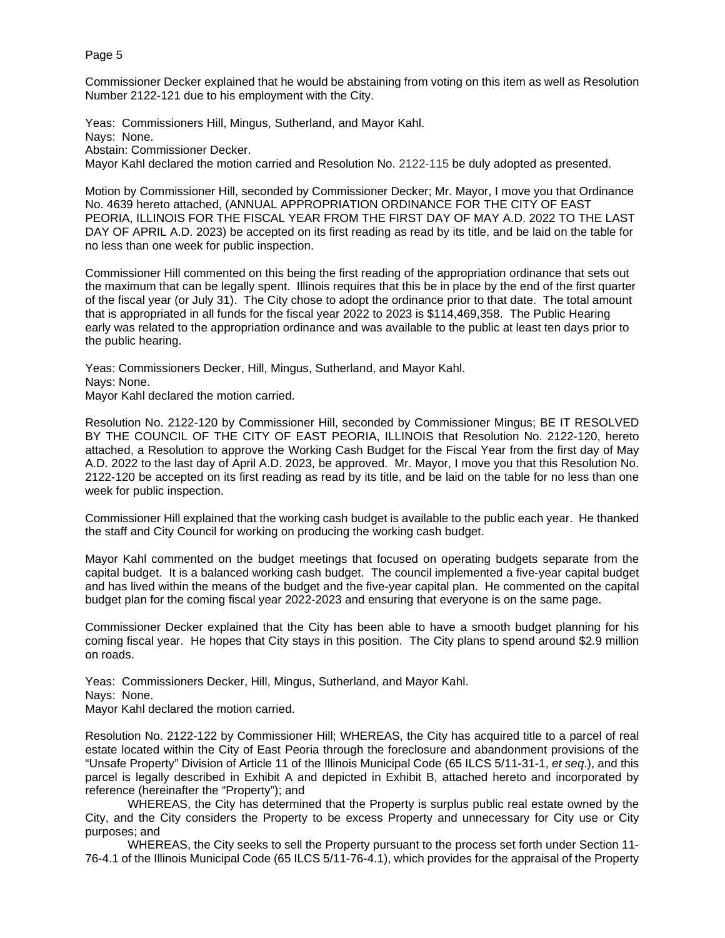Commissioner Decker explained that he would be abstaining from voting on this item as well as Resolution Number 2122-121 due to his employment with the City.

Yeas: Commissioners Hill, Mingus, Sutherland, and Mayor Kahl. Nays: None. Abstain: Commissioner Decker.

Mayor Kahl declared the motion carried and Resolution No. 2122-115 be duly adopted as presented.

Motion by Commissioner Hill, seconded by Commissioner Decker; Mr. Mayor, I move you that Ordinance No. 4639 hereto attached, (ANNUAL APPROPRIATION ORDINANCE FOR THE CITY OF EAST PEORIA, ILLINOIS FOR THE FISCAL YEAR FROM THE FIRST DAY OF MAY A.D. 2022 TO THE LAST DAY OF APRIL A.D. 2023) be accepted on its first reading as read by its title, and be laid on the table for no less than one week for public inspection.

Commissioner Hill commented on this being the first reading of the appropriation ordinance that sets out the maximum that can be legally spent. Illinois requires that this be in place by the end of the first quarter of the fiscal year (or July 31). The City chose to adopt the ordinance prior to that date. The total amount that is appropriated in all funds for the fiscal year 2022 to 2023 is \$114,469,358. The Public Hearing early was related to the appropriation ordinance and was available to the public at least ten days prior to the public hearing.

Yeas: Commissioners Decker, Hill, Mingus, Sutherland, and Mayor Kahl. Nays: None. Mayor Kahl declared the motion carried.

Resolution No. 2122-120 by Commissioner Hill, seconded by Commissioner Mingus; BE IT RESOLVED BY THE COUNCIL OF THE CITY OF EAST PEORIA, ILLINOIS that Resolution No. 2122-120, hereto attached, a Resolution to approve the Working Cash Budget for the Fiscal Year from the first day of May A.D. 2022 to the last day of April A.D. 2023, be approved. Mr. Mayor, I move you that this Resolution No. 2122-120 be accepted on its first reading as read by its title, and be laid on the table for no less than one week for public inspection.

Commissioner Hill explained that the working cash budget is available to the public each year. He thanked the staff and City Council for working on producing the working cash budget.

Mayor Kahl commented on the budget meetings that focused on operating budgets separate from the capital budget. It is a balanced working cash budget. The council implemented a five-year capital budget and has lived within the means of the budget and the five-year capital plan. He commented on the capital budget plan for the coming fiscal year 2022-2023 and ensuring that everyone is on the same page.

Commissioner Decker explained that the City has been able to have a smooth budget planning for his coming fiscal year. He hopes that City stays in this position. The City plans to spend around \$2.9 million on roads.

Yeas: Commissioners Decker, Hill, Mingus, Sutherland, and Mayor Kahl. Nays: None.

Mayor Kahl declared the motion carried.

Resolution No. 2122-122 by Commissioner Hill; WHEREAS, the City has acquired title to a parcel of real estate located within the City of East Peoria through the foreclosure and abandonment provisions of the "Unsafe Property" Division of Article 11 of the Illinois Municipal Code (65 ILCS 5/11-31-1, *et seq*.), and this parcel is legally described in Exhibit A and depicted in Exhibit B, attached hereto and incorporated by reference (hereinafter the "Property"); and

WHEREAS, the City has determined that the Property is surplus public real estate owned by the City, and the City considers the Property to be excess Property and unnecessary for City use or City purposes; and

WHEREAS, the City seeks to sell the Property pursuant to the process set forth under Section 11- 76-4.1 of the Illinois Municipal Code (65 ILCS 5/11-76-4.1), which provides for the appraisal of the Property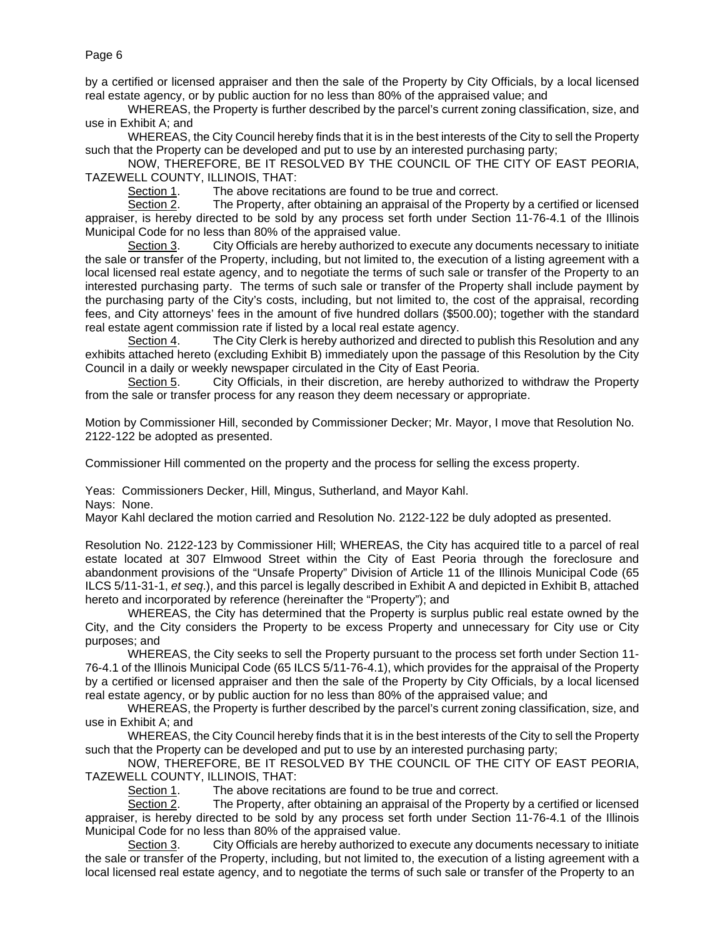by a certified or licensed appraiser and then the sale of the Property by City Officials, by a local licensed real estate agency, or by public auction for no less than 80% of the appraised value; and

WHEREAS, the Property is further described by the parcel's current zoning classification, size, and use in Exhibit A; and

WHEREAS, the City Council hereby finds that it is in the best interests of the City to sell the Property such that the Property can be developed and put to use by an interested purchasing party;

NOW, THEREFORE, BE IT RESOLVED BY THE COUNCIL OF THE CITY OF EAST PEORIA, TAZEWELL COUNTY, ILLINOIS, THAT:

Section 1. The above recitations are found to be true and correct.<br>Section 2. The Property, after obtaining an appraisal of the Proper The Property, after obtaining an appraisal of the Property by a certified or licensed appraiser, is hereby directed to be sold by any process set forth under Section 11-76-4.1 of the Illinois Municipal Code for no less than 80% of the appraised value.

Section 3. City Officials are hereby authorized to execute any documents necessary to initiate the sale or transfer of the Property, including, but not limited to, the execution of a listing agreement with a local licensed real estate agency, and to negotiate the terms of such sale or transfer of the Property to an interested purchasing party. The terms of such sale or transfer of the Property shall include payment by the purchasing party of the City's costs, including, but not limited to, the cost of the appraisal, recording fees, and City attorneys' fees in the amount of five hundred dollars (\$500.00); together with the standard real estate agent commission rate if listed by a local real estate agency.

Section 4. The City Clerk is hereby authorized and directed to publish this Resolution and any exhibits attached hereto (excluding Exhibit B) immediately upon the passage of this Resolution by the City Council in a daily or weekly newspaper circulated in the City of East Peoria.

Section 5. City Officials, in their discretion, are hereby authorized to withdraw the Property from the sale or transfer process for any reason they deem necessary or appropriate.

Motion by Commissioner Hill, seconded by Commissioner Decker; Mr. Mayor, I move that Resolution No. 2122-122 be adopted as presented.

Commissioner Hill commented on the property and the process for selling the excess property.

Yeas: Commissioners Decker, Hill, Mingus, Sutherland, and Mayor Kahl.

Nays: None.

Mayor Kahl declared the motion carried and Resolution No. 2122-122 be duly adopted as presented.

Resolution No. 2122-123 by Commissioner Hill; WHEREAS, the City has acquired title to a parcel of real estate located at 307 Elmwood Street within the City of East Peoria through the foreclosure and abandonment provisions of the "Unsafe Property" Division of Article 11 of the Illinois Municipal Code (65 ILCS 5/11-31-1, *et seq*.), and this parcel is legally described in Exhibit A and depicted in Exhibit B, attached hereto and incorporated by reference (hereinafter the "Property"); and

WHEREAS, the City has determined that the Property is surplus public real estate owned by the City, and the City considers the Property to be excess Property and unnecessary for City use or City purposes; and

WHEREAS, the City seeks to sell the Property pursuant to the process set forth under Section 11- 76-4.1 of the Illinois Municipal Code (65 ILCS 5/11-76-4.1), which provides for the appraisal of the Property by a certified or licensed appraiser and then the sale of the Property by City Officials, by a local licensed real estate agency, or by public auction for no less than 80% of the appraised value; and

WHEREAS, the Property is further described by the parcel's current zoning classification, size, and use in Exhibit A; and

WHEREAS, the City Council hereby finds that it is in the best interests of the City to sell the Property such that the Property can be developed and put to use by an interested purchasing party;

NOW, THEREFORE, BE IT RESOLVED BY THE COUNCIL OF THE CITY OF EAST PEORIA, TAZEWELL COUNTY, ILLINOIS, THAT:

Section 1. The above recitations are found to be true and correct.

Section 2. The Property, after obtaining an appraisal of the Property by a certified or licensed appraiser, is hereby directed to be sold by any process set forth under Section 11-76-4.1 of the Illinois Municipal Code for no less than 80% of the appraised value.

Section 3. City Officials are hereby authorized to execute any documents necessary to initiate the sale or transfer of the Property, including, but not limited to, the execution of a listing agreement with a local licensed real estate agency, and to negotiate the terms of such sale or transfer of the Property to an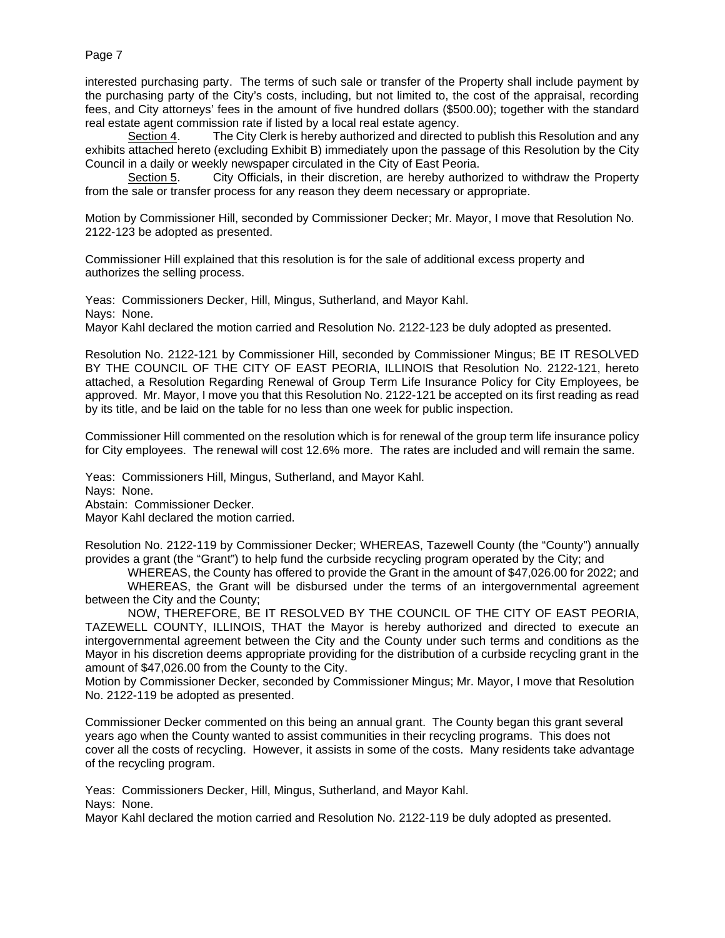interested purchasing party. The terms of such sale or transfer of the Property shall include payment by the purchasing party of the City's costs, including, but not limited to, the cost of the appraisal, recording fees, and City attorneys' fees in the amount of five hundred dollars (\$500.00); together with the standard real estate agent commission rate if listed by a local real estate agency.<br>Section 4. The City Clerk is hereby authorized and directed

The City Clerk is hereby authorized and directed to publish this Resolution and any exhibits attached hereto (excluding Exhibit B) immediately upon the passage of this Resolution by the City Council in a daily or weekly newspaper circulated in the City of East Peoria.

Section 5. City Officials, in their discretion, are hereby authorized to withdraw the Property from the sale or transfer process for any reason they deem necessary or appropriate.

Motion by Commissioner Hill, seconded by Commissioner Decker; Mr. Mayor, I move that Resolution No. 2122-123 be adopted as presented.

Commissioner Hill explained that this resolution is for the sale of additional excess property and authorizes the selling process.

Yeas: Commissioners Decker, Hill, Mingus, Sutherland, and Mayor Kahl. Nays: None. Mayor Kahl declared the motion carried and Resolution No. 2122-123 be duly adopted as presented.

Resolution No. 2122-121 by Commissioner Hill, seconded by Commissioner Mingus; BE IT RESOLVED BY THE COUNCIL OF THE CITY OF EAST PEORIA, ILLINOIS that Resolution No. 2122-121, hereto attached, a Resolution Regarding Renewal of Group Term Life Insurance Policy for City Employees, be approved. Mr. Mayor, I move you that this Resolution No. 2122-121 be accepted on its first reading as read by its title, and be laid on the table for no less than one week for public inspection.

Commissioner Hill commented on the resolution which is for renewal of the group term life insurance policy for City employees. The renewal will cost 12.6% more. The rates are included and will remain the same.

Yeas: Commissioners Hill, Mingus, Sutherland, and Mayor Kahl.

Nays: None.

Abstain: Commissioner Decker.

Mayor Kahl declared the motion carried.

Resolution No. 2122-119 by Commissioner Decker; WHEREAS, Tazewell County (the "County") annually provides a grant (the "Grant") to help fund the curbside recycling program operated by the City; and

WHEREAS, the County has offered to provide the Grant in the amount of \$47,026.00 for 2022; and

WHEREAS, the Grant will be disbursed under the terms of an intergovernmental agreement between the City and the County;

NOW, THEREFORE, BE IT RESOLVED BY THE COUNCIL OF THE CITY OF EAST PEORIA, TAZEWELL COUNTY, ILLINOIS, THAT the Mayor is hereby authorized and directed to execute an intergovernmental agreement between the City and the County under such terms and conditions as the Mayor in his discretion deems appropriate providing for the distribution of a curbside recycling grant in the amount of \$47,026.00 from the County to the City.

Motion by Commissioner Decker, seconded by Commissioner Mingus; Mr. Mayor, I move that Resolution No. 2122-119 be adopted as presented.

Commissioner Decker commented on this being an annual grant. The County began this grant several years ago when the County wanted to assist communities in their recycling programs. This does not cover all the costs of recycling. However, it assists in some of the costs. Many residents take advantage of the recycling program.

Yeas: Commissioners Decker, Hill, Mingus, Sutherland, and Mayor Kahl. Nays: None.

Mayor Kahl declared the motion carried and Resolution No. 2122-119 be duly adopted as presented.